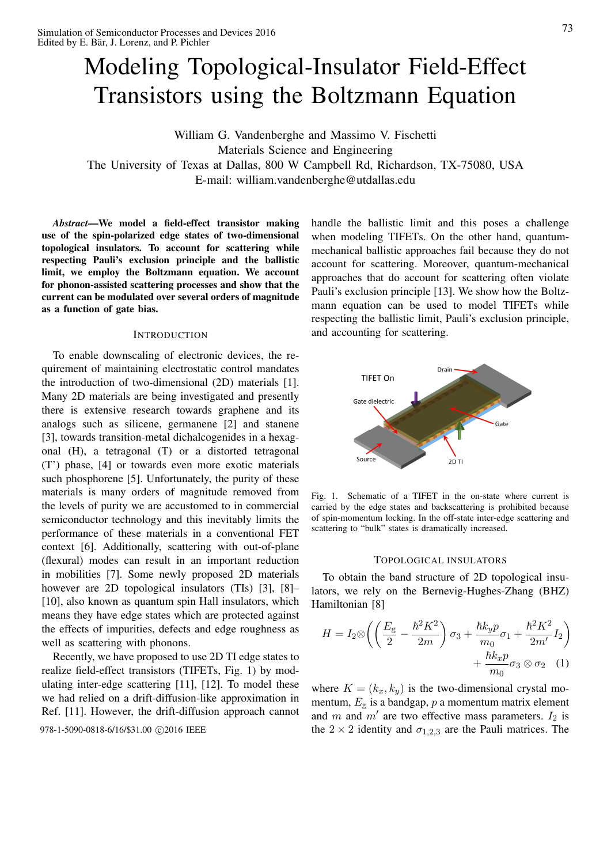# Modeling Topological-Insulator Field-Effect Transistors using the Boltzmann Equation

William G. Vandenberghe and Massimo V. Fischetti Materials Science and Engineering The University of Texas at Dallas, 800 W Campbell Rd, Richardson, TX-75080, USA E-mail: william.vandenberghe@utdallas.edu

*Abstract*—We model a field-effect transistor making use of the spin-polarized edge states of two-dimensional topological insulators. To account for scattering while respecting Pauli's exclusion principle and the ballistic limit, we employ the Boltzmann equation. We account for phonon-assisted scattering processes and show that the current can be modulated over several orders of magnitude as a function of gate bias.

## **INTRODUCTION**

To enable downscaling of electronic devices, the requirement of maintaining electrostatic control mandates the introduction of two-dimensional (2D) materials [1]. Many 2D materials are being investigated and presently there is extensive research towards graphene and its analogs such as silicene, germanene [2] and stanene [3], towards transition-metal dichalcogenides in a hexagonal (H), a tetragonal (T) or a distorted tetragonal (T') phase, [4] or towards even more exotic materials such phosphorene [5]. Unfortunately, the purity of these materials is many orders of magnitude removed from the levels of purity we are accustomed to in commercial semiconductor technology and this inevitably limits the performance of these materials in a conventional FET context [6]. Additionally, scattering with out-of-plane (flexural) modes can result in an important reduction in mobilities [7]. Some newly proposed 2D materials however are 2D topological insulators (TIs) [3], [8]– [10], also known as quantum spin Hall insulators, which means they have edge states which are protected against the effects of impurities, defects and edge roughness as well as scattering with phonons.

Recently, we have proposed to use 2D TI edge states to realize field-effect transistors (TIFETs, Fig. 1) by modulating inter-edge scattering [11], [12]. To model these we had relied on a drift-diffusion-like approximation in Ref. [11]. However, the drift-diffusion approach cannot 978-1-5090-0818-6/16/\$31.00 C 2016 IEEE the

handle the ballistic limit and this poses a challenge when modeling TIFETs. On the other hand, quantummechanical ballistic approaches fail because they do not account for scattering. Moreover, quantum-mechanical approaches that do account for scattering often violate Pauli's exclusion principle [13]. We show how the Boltzmann equation can be used to model TIFETs while respecting the ballistic limit, Pauli's exclusion principle, and accounting for scattering.



Fig. 1. Schematic of a TIFET in the on-state where current is carried by the edge states and backscattering is prohibited because of spin-momentum locking. In the off-state inter-edge scattering and scattering to "bulk" states is dramatically increased.

#### TOPOLOGICAL INSULATORS

To obtain the band structure of 2D topological insulators, we rely on the Bernevig-Hughes-Zhang (BHZ) Hamiltonian [8]

$$
H = I_2 \otimes \left( \left( \frac{E_g}{2} - \frac{\hbar^2 K^2}{2m} \right) \sigma_3 + \frac{\hbar k_y p}{m_0} \sigma_1 + \frac{\hbar^2 K^2}{2m'} I_2 \right) + \frac{\hbar k_x p}{m_0} \sigma_3 \otimes \sigma_2 \quad (1)
$$

where  $K = (k_x, k_y)$  is the two-dimensional crystal momentum,  $E_g$  is a bandgap,  $p$  a momentum matrix element and m and  $m'$  are two effective mass parameters.  $I_2$  is  $2 \times 2$  identity and  $\sigma_{1,2,3}$  are the Pauli matrices. The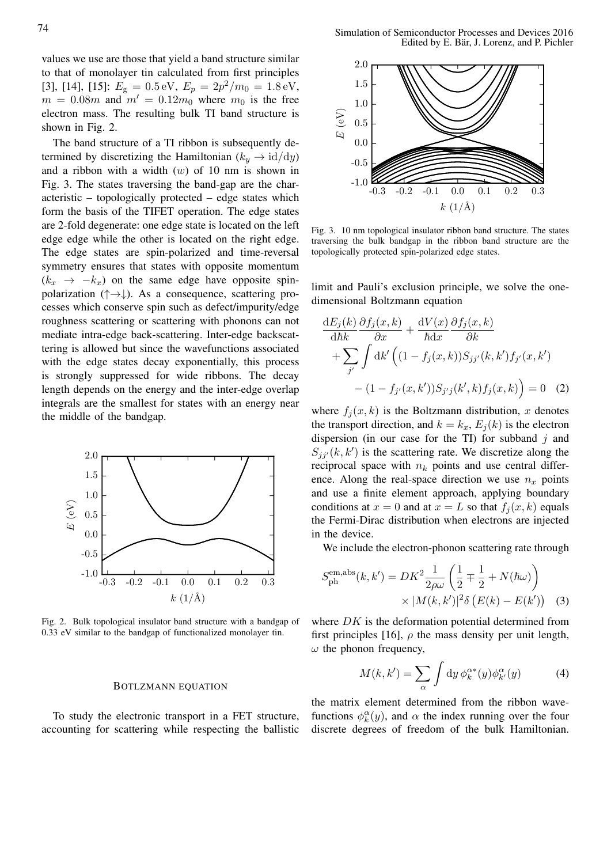values we use are those that yield a band structure similar to that of monolayer tin calculated from first principles [3], [14], [15]:  $E_{\text{g}} = 0.5 \text{ eV}$ ,  $E_{p} = 2p^2/m_0 = 1.8 \text{ eV}$ ,  $m = 0.08m$  and  $m' = 0.12m_0$  where  $m_0$  is the free electron mass. The resulting bulk TI band structure is shown in Fig. 2.

The band structure of a TI ribbon is subsequently determined by discretizing the Hamiltonian ( $k_y \rightarrow \text{id}/\text{d}y$ ) and a ribbon with a width  $(w)$  of 10 nm is shown in Fig. 3. The states traversing the band-gap are the characteristic – topologically protected – edge states which form the basis of the TIFET operation. The edge states are 2-fold degenerate: one edge state is located on the left edge edge while the other is located on the right edge. The edge states are spin-polarized and time-reversal symmetry ensures that states with opposite momentum  $(k_x \rightarrow -k_x)$  on the same edge have opposite spinpolarization ( $\uparrow \rightarrow \downarrow$ ). As a consequence, scattering processes which conserve spin such as defect/impurity/edge roughness scattering or scattering with phonons can not mediate intra-edge back-scattering. Inter-edge backscattering is allowed but since the wavefunctions associated with the edge states decay exponentially, this process is strongly suppressed for wide ribbons. The decay length depends on the energy and the inter-edge overlap integrals are the smallest for states with an energy near the middle of the bandgap.



Fig. 2. Bulk topological insulator band structure with a bandgap of 0.33 eV similar to the bandgap of functionalized monolayer tin.

#### BOTLZMANN EQUATION

To study the electronic transport in a FET structure, accounting for scattering while respecting the ballistic



Fig. 3. 10 nm topological insulator ribbon band structure. The states traversing the bulk bandgap in the ribbon band structure are the topologically protected spin-polarized edge states.

limit and Pauli's exclusion principle, we solve the onedimensional Boltzmann equation

$$
\frac{\mathrm{d}E_j(k)}{\mathrm{d}\hbar k} \frac{\partial f_j(x,k)}{\partial x} + \frac{\mathrm{d}V(x)}{\hbar \mathrm{d}x} \frac{\partial f_j(x,k)}{\partial k} \n+ \sum_{j'} \int \mathrm{d}k' \left( (1 - f_j(x,k)) S_{jj'}(k,k') f_{j'}(x,k') - (1 - f_{j'}(x,k')) S_{j'j}(k',k) f_j(x,k) \right) = 0
$$
\n(2)

where  $f_j(x, k)$  is the Boltzmann distribution, x denotes the transport direction, and  $k = k_x$ ,  $E_j(k)$  is the electron dispersion (in our case for the TI) for subband  $j$  and  $S_{jj'}(k, k')$  is the scattering rate. We discretize along the reciprocal space with  $n_k$  points and use central difference. Along the real-space direction we use  $n_x$  points and use a finite element approach, applying boundary conditions at  $x = 0$  and at  $x = L$  so that  $f_j(x, k)$  equals the Fermi-Dirac distribution when electrons are injected in the device.

We include the electron-phonon scattering rate through

$$
S_{\rm ph}^{\rm em,abs}(k, k') = DK^2 \frac{1}{2\rho\omega} \left(\frac{1}{2} \mp \frac{1}{2} + N(\hbar\omega)\right)
$$

$$
\times |M(k, k')|^2 \delta \left(E(k) - E(k')\right) \quad (3)
$$

where  $DK$  is the deformation potential determined from first principles [16],  $\rho$  the mass density per unit length,  $\omega$  the phonon frequency,

$$
M(k, k') = \sum_{\alpha} \int \mathrm{d}y \, \phi_k^{\alpha*}(y) \phi_{k'}^{\alpha}(y) \tag{4}
$$

the matrix element determined from the ribbon wavefunctions  $\phi_k^{\alpha}(y)$ , and  $\alpha$  the index running over the four discrete degrees of freedom of the bulk Hamiltonian.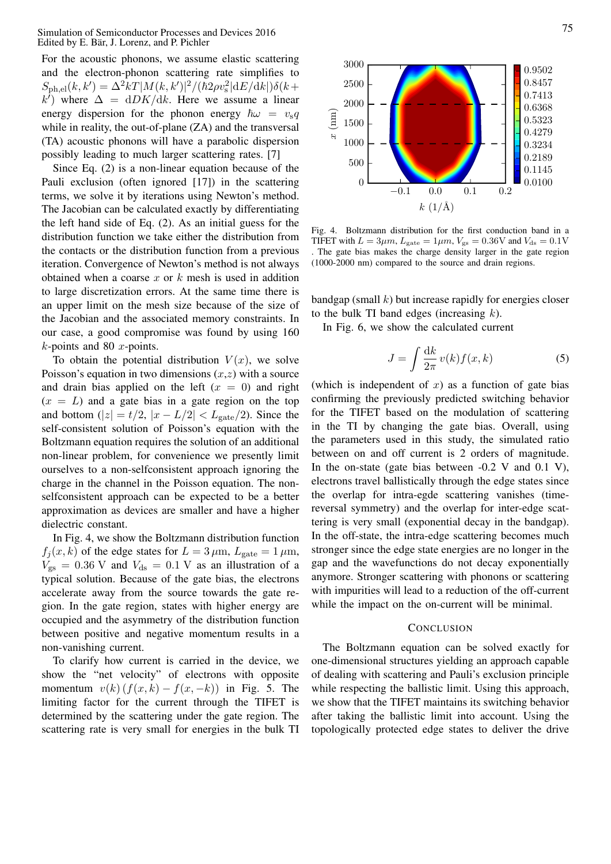For the acoustic phonons, we assume elastic scattering and the electron-phonon scattering rate simplifies to  $S_{\rm ph,el}(k, k') = \Delta^2 k T |M(k, k')|^2 / (\hbar 2 \rho v_{\rm s}^2 |{\rm d}E/{\rm d}k|) \delta(k +$  $\overline{k'}$ ) where  $\Delta = dDK/dk$ . Here we assume a linear energy dispersion for the phonon energy  $\hbar\omega = v_{\rm s}q$ while in reality, the out-of-plane (ZA) and the transversal (TA) acoustic phonons will have a parabolic dispersion possibly leading to much larger scattering rates. [7]

Since Eq. (2) is a non-linear equation because of the Pauli exclusion (often ignored [17]) in the scattering terms, we solve it by iterations using Newton's method. The Jacobian can be calculated exactly by differentiating the left hand side of Eq. (2). As an initial guess for the distribution function we take either the distribution from the contacts or the distribution function from a previous iteration. Convergence of Newton's method is not always obtained when a coarse  $x$  or  $k$  mesh is used in addition to large discretization errors. At the same time there is an upper limit on the mesh size because of the size of the Jacobian and the associated memory constraints. In our case, a good compromise was found by using 160  $k$ -points and 80  $x$ -points.

To obtain the potential distribution  $V(x)$ , we solve Poisson's equation in two dimensions  $(x, z)$  with a source and drain bias applied on the left  $(x = 0)$  and right  $(x = L)$  and a gate bias in a gate region on the top and bottom ( $|z| = t/2$ ,  $|x - L/2| < L_{\text{gate}}/2$ ). Since the self-consistent solution of Poisson's equation with the Boltzmann equation requires the solution of an additional non-linear problem, for convenience we presently limit ourselves to a non-selfconsistent approach ignoring the charge in the channel in the Poisson equation. The nonselfconsistent approach can be expected to be a better approximation as devices are smaller and have a higher dielectric constant.

In Fig. 4, we show the Boltzmann distribution function  $f_j(x, k)$  of the edge states for  $L = 3 \,\mu \text{m}$ ,  $L_{\text{gate}} = 1 \,\mu \text{m}$ ,  $V_{\rm gs} = 0.36$  V and  $V_{\rm ds} = 0.1$  V as an illustration of a typical solution. Because of the gate bias, the electrons accelerate away from the source towards the gate region. In the gate region, states with higher energy are occupied and the asymmetry of the distribution function between positive and negative momentum results in a non-vanishing current.

To clarify how current is carried in the device, we show the "net velocity" of electrons with opposite momentum  $v(k)$   $(f(x, k) - f(x, -k))$  in Fig. 5. The limiting factor for the current through the TIFET is determined by the scattering under the gate region. The



bandgap (small  $k$ ) but increase rapidly for energies closer to the bulk TI band edges (increasing  $k$ ).

In Fig. 6, we show the calculated current

$$
J = \int \frac{\mathrm{d}k}{2\pi} v(k) f(x, k) \tag{5}
$$

Paul diest between the scattering rate in the sattering rate of the sattering rate in the sattering rate of the sole in the sattern of the sole in the sattern of the sole in the sattern of the sattern of the sattern of th (which is independent of  $x$ ) as a function of gate bias confirming the previously predicted switching behavior for the TIFET based on the modulation of scattering in the TI by changing the gate bias. Overall, using the parameters used in this study, the simulated ratio between on and off current is 2 orders of magnitude. In the on-state (gate bias between  $-0.2$  V and  $0.1$  V), electrons travel ballistically through the edge states since the overlap for intra-egde scattering vanishes (timereversal symmetry) and the overlap for inter-edge scattering is very small (exponential decay in the bandgap). In the off-state, the intra-edge scattering becomes much stronger since the edge state energies are no longer in the gap and the wavefunctions do not decay exponentially anymore. Stronger scattering with phonons or scattering with impurities will lead to a reduction of the off-current while the impact on the on-current will be minimal.

## **CONCLUSION**

The Boltzmann equation can be solved exactly for one-dimensional structures yielding an approach capable of dealing with scattering and Pauli's exclusion principle while respecting the ballistic limit. Using this approach, we show that the TIFET maintains its switching behavior after taking the ballistic limit into account. Using the topologically protected edge states to deliver the drive